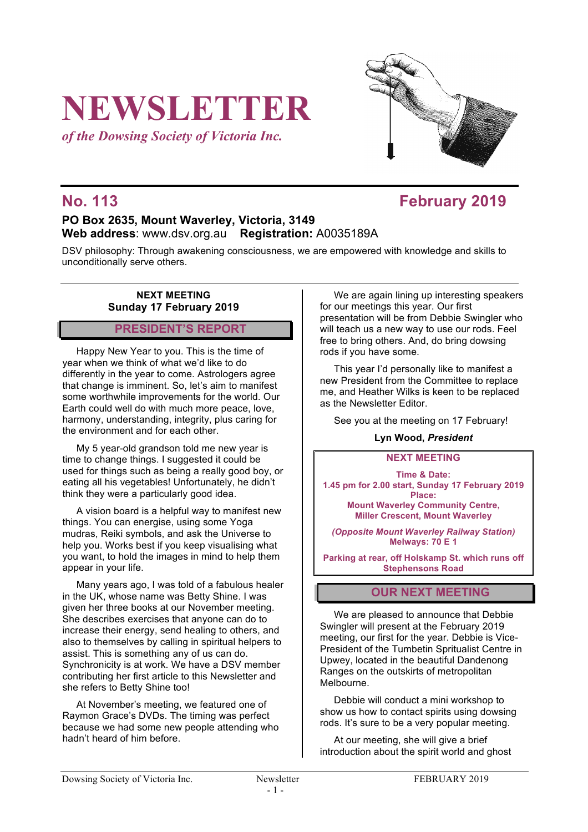# **NEWSLETTER**

*of the Dowsing Society of Victoria Inc.*



### **No. 113 February 2019**

### **PO Box 2635, Mount Waverley, Victoria, 3149 Web address**: www.dsv.org.au **Registration:** A0035189A

DSV philosophy: Through awakening consciousness, we are empowered with knowledge and skills to unconditionally serve others.

### **NEXT MEETING Sunday 17 February 2019**

### **PRESIDENT'S REPORT**

Happy New Year to you. This is the time of year when we think of what we'd like to do differently in the year to come. Astrologers agree that change is imminent. So, let's aim to manifest some worthwhile improvements for the world. Our Earth could well do with much more peace, love, harmony, understanding, integrity, plus caring for the environment and for each other.

My 5 year-old grandson told me new year is time to change things. I suggested it could be used for things such as being a really good boy, or eating all his vegetables! Unfortunately, he didn't think they were a particularly good idea.

A vision board is a helpful way to manifest new things. You can energise, using some Yoga mudras, Reiki symbols, and ask the Universe to help you. Works best if you keep visualising what you want, to hold the images in mind to help them appear in your life.

Many years ago, I was told of a fabulous healer in the UK, whose name was Betty Shine. I was given her three books at our November meeting. She describes exercises that anyone can do to increase their energy, send healing to others, and also to themselves by calling in spiritual helpers to assist. This is something any of us can do. Synchronicity is at work. We have a DSV member contributing her first article to this Newsletter and she refers to Betty Shine too!

At November's meeting, we featured one of Raymon Grace's DVDs. The timing was perfect because we had some new people attending who hadn't heard of him before.

We are again lining up interesting speakers for our meetings this year. Our first presentation will be from Debbie Swingler who will teach us a new way to use our rods. Feel free to bring others. And, do bring dowsing rods if you have some.

This year I'd personally like to manifest a new President from the Committee to replace me, and Heather Wilks is keen to be replaced as the Newsletter Editor.

See you at the meeting on 17 February!

### **Lyn Wood,** *President*

### **NEXT MEETING**

**Time & Date: 1.45 pm for 2.00 start, Sunday 17 February 2019 Place: Mount Waverley Community Centre, Miller Crescent, Mount Waverley**

*(Opposite Mount Waverley Railway Station)* **Melways: 70 E 1**

**Parking at rear, off Holskamp St. which runs off Stephensons Road**

### **OUR NEXT MEETING**

We are pleased to announce that Debbie Swingler will present at the February 2019 meeting, our first for the year. Debbie is Vice-President of the Tumbetin Spritualist Centre in Upwey, located in the beautiful Dandenong Ranges on the outskirts of metropolitan Melbourne.

Debbie will conduct a mini workshop to show us how to contact spirits using dowsing rods. It's sure to be a very popular meeting.

At our meeting, she will give a brief introduction about the spirit world and ghost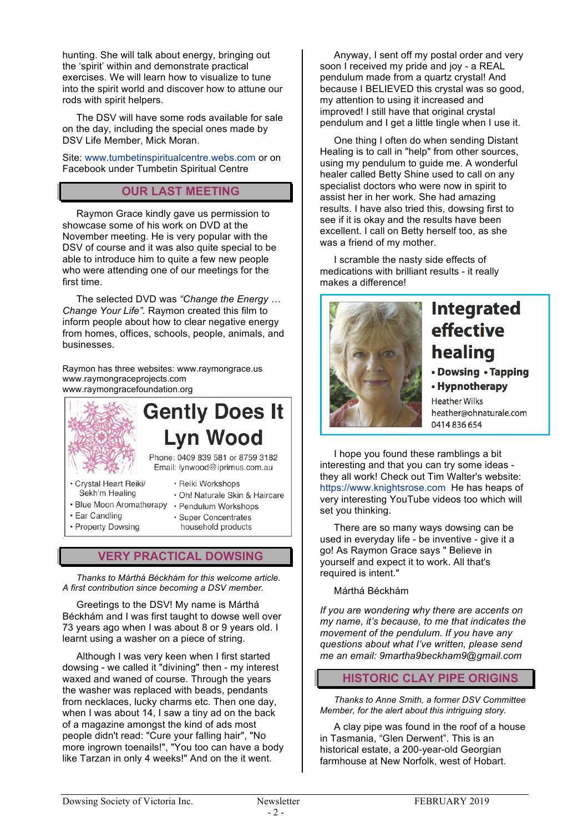hunting. She will talk about energy, bringing out the 'spirit' within and demonstrate practical exercises. We will learn how to visualize to tune into the spirit world and discover how to attune our rods with spirit helpers.

The DSV will have some rods available for sale on the day, including the special ones made by DSV Life Member, Mick Moran.

Site: www.tumbetinspiritualcentre.webs.com or on Facebook under Tumbetin Spiritual Centre

### **OUR LAST MEETING**

Raymon Grace kindly gave us permission to showcase some of his work on DVD at the November meeting. He is very popular with the DSV of course and it was also quite special to be able to introduce him to quite a few new people who were attending one of our meetings for the first time.

The selected DVD was *"Change the Energy … Change Your Life".* Raymon created this film to inform people about how to clear negative energy from homes, offices, schools, people, animals, and businesses.

Raymon has three websites: www.raymongrace.us www.raymongraceprojects.com www.raymongracefoundation.org



## **Gently Does It Lyn Wood**

Phone: 0409 839 581 or 8759 3182 Email: lynwood@iprimus.com.au

- · Crystal Heart Reiki/ Sekh'm Healing
	- · Reiki Workshops · Oh! Naturale Skin & Haircare
- · Blue Moon Aromatherapy · Pendulum Workshops
- · Ear Candling
- · Super Concentrates
- · Property Dowsing
- household products

### **VERY PRACTICAL DOWSING**

*Thanks to Márthá Béckhám for this welcome article. A first contribution since becoming a DSV member.*

Greetings to the DSV! My name is Márthá Béckhám and I was first taught to dowse well over 73 years ago when I was about 8 or 9 years old. I learnt using a washer on a piece of string.

Although I was very keen when I first started dowsing - we called it "divining" then - my interest waxed and waned of course. Through the years the washer was replaced with beads, pendants from necklaces, lucky charms etc. Then one day, when I was about 14, I saw a tiny ad on the back of a magazine amongst the kind of ads most people didn't read: "Cure your falling hair", "No more ingrown toenails!", "You too can have a body like Tarzan in only 4 weeks!" And on the it went.

Anyway, I sent off my postal order and very soon I received my pride and joy - a REAL pendulum made from a quartz crystal! And because I BELIEVED this crystal was so good, my attention to using it increased and improved! I still have that original crystal pendulum and I get a little tingle when I use it.

One thing I often do when sending Distant Healing is to call in "help" from other sources, using my pendulum to guide me. A wonderful healer called Betty Shine used to call on any specialist doctors who were now in spirit to assist her in her work. She had amazing results. I have also tried this, dowsing first to see if it is okay and the results have been excellent. I call on Betty herself too, as she was a friend of my mother.

I scramble the nasty side effects of medications with brilliant results - it really makes a difference!



### **Integrated** effective healing

• Dowsing • Tapping • Hypnotherapy

**Heather Wilks** heather@ohnaturale.com 0414 836 654

I hope you found these ramblings a bit interesting and that you can try some ideas they all work! Check out Tim Walter's website: https://www.knightsrose.com He has heaps of very interesting YouTube videos too which will set you thinking.

There are so many ways dowsing can be used in everyday life - be inventive - give it a go! As Raymon Grace says " Believe in yourself and expect it to work. All that's required is intent."

Márthá Béckhám

*If you are wondering why there are accents on my name, it's because, to me that indicates the movement of the pendulum. If you have any questions about what I've written, please send me an email: 9martha9beckham9@gmail.com*

### **HISTORIC CLAY PIPE ORIGINS**

*Thanks to Anne Smith, a former DSV Committee Member, for the alert about this intriguing story.*

A clay pipe was found in the roof of a house in Tasmania, "Glen Derwent". This is an historical estate, a 200-year-old Georgian farmhouse at New Norfolk, west of Hobart.